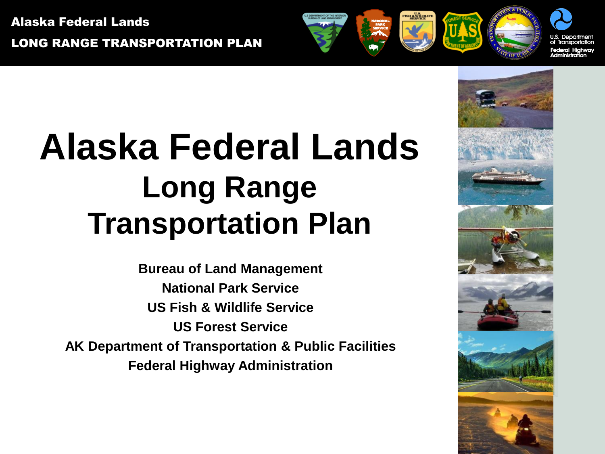Alaska Federal Lands LONG RANGE TRANSPORTATION PLAN

# **Alaska Federal Lands Long Range Transportation Plan**

**Bureau of Land Management National Park Service US Fish & Wildlife Service US Forest Service AK Department of Transportation & Public Facilities Federal Highway Administration**

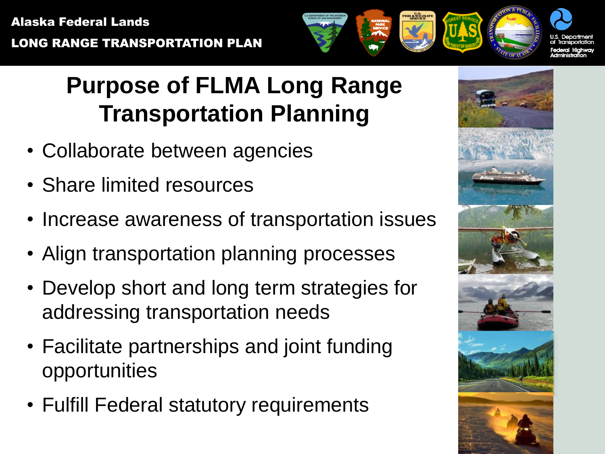

# **Purpose of FLMA Long Range Transportation Planning**

- Collaborate between agencies
- Share limited resources
- Increase awareness of transportation issues
- Align transportation planning processes
- Develop short and long term strategies for addressing transportation needs
- Facilitate partnerships and joint funding opportunities
- Fulfill Federal statutory requirements

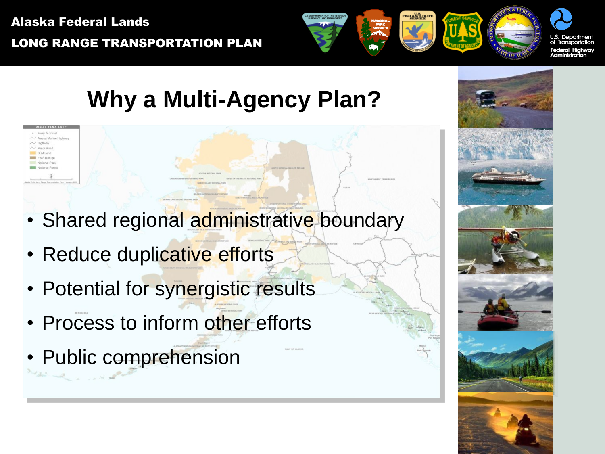Fili M. Long FWS Refug

LONG RANGE TRANSPORTATION PLAN

# **Why a Multi-Agency Plan?**

- Shared regional administrative boundary
- Reduce duplicative efforts
- Potential for synergistic results
- **Process to inform other efforts**
- Public comprehension

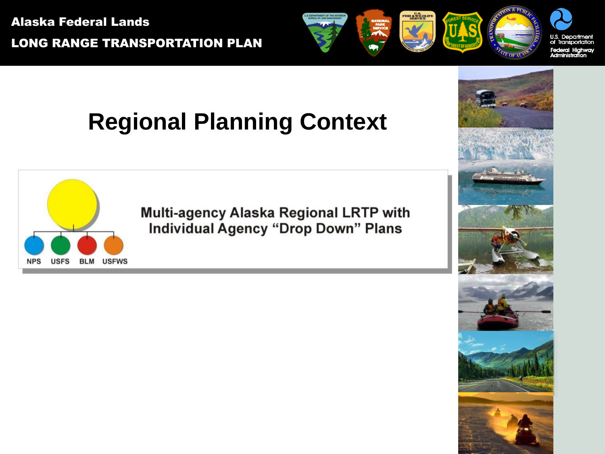Alaska Federal Lands LONG RANGE TRANSPORTATION PLAN

**NPS** 

**USFS** 

**BLM USFWS** 



## **Regional Planning Context**

**Multi-agency Alaska Regional LRTP with Individual Agency "Drop Down" Plans** 

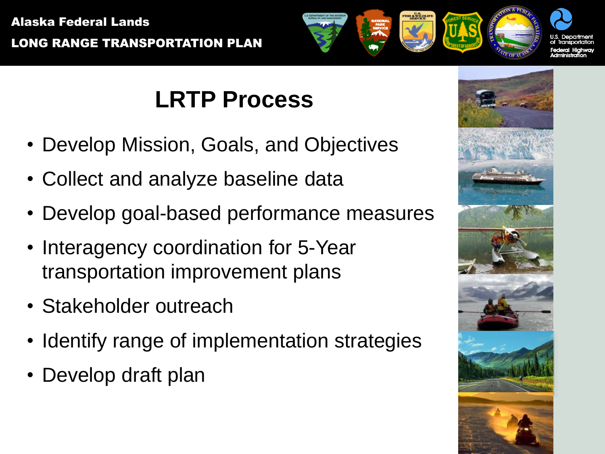

### **LRTP Process**

- Develop Mission, Goals, and Objectives
- Collect and analyze baseline data
- Develop goal-based performance measures
- Interagency coordination for 5-Year transportation improvement plans
- Stakeholder outreach
- Identify range of implementation strategies
- Develop draft plan

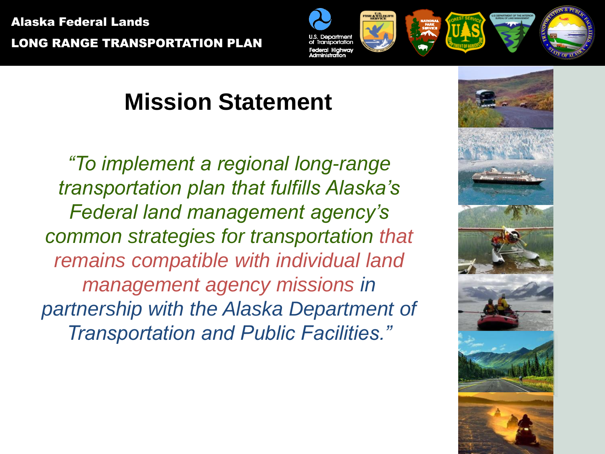LONG RANGE TRANSPORTATION PLAN



# **Mission Statement**

*"To implement a regional long-range transportation plan that fulfills Alaska's Federal land management agency's common strategies for transportation that remains compatible with individual land management agency missions in partnership with the Alaska Department of Transportation and Public Facilities."*

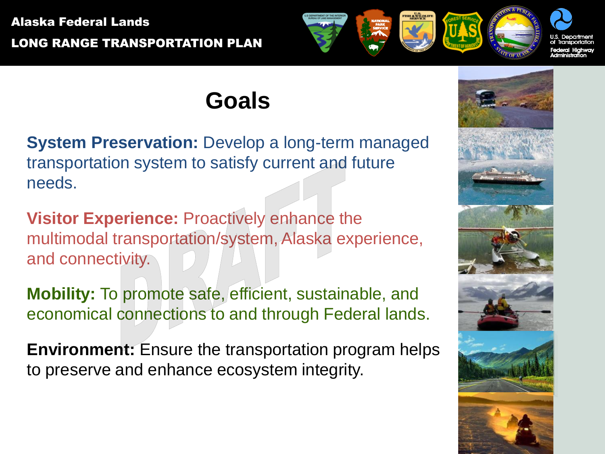#### Alaska Federal Lands LONG RANGE TRANSPORTATION PLAN



#### **Goals**

**System Preservation:** Develop a long-term managed transportation system to satisfy current and future needs.

**Visitor Experience:** Proactively enhance the multimodal transportation/system, Alaska experience, and connectivity.

**Mobility:** To promote safe, efficient, sustainable, and economical connections to and through Federal lands.

**Environment:** Ensure the transportation program helps to preserve and enhance ecosystem integrity.

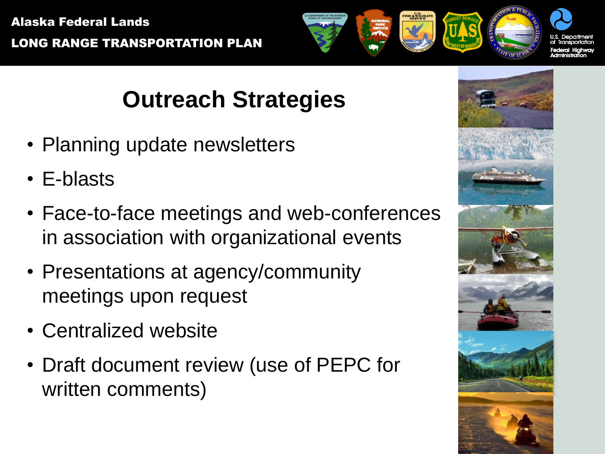# **Outreach Strategies**

- Planning update newsletters
- E-blasts
- Face-to-face meetings and web-conferences in association with organizational events
- Presentations at agency/community meetings upon request
- Centralized website
- Draft document review (use of PEPC for written comments)

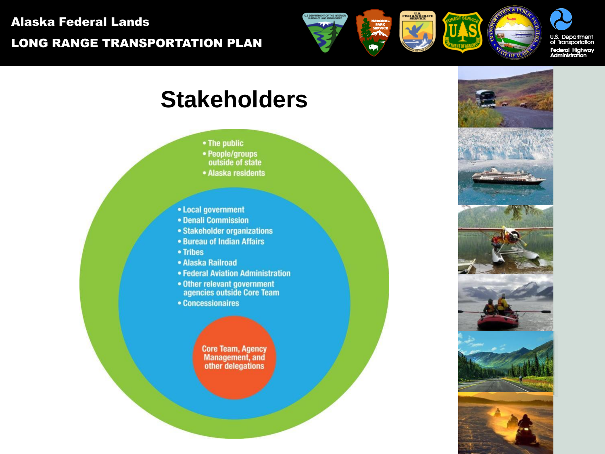



#### **Stakeholders**

- The public
- People/groups
- outside of state
- Alaska residents
- Local government
- Denali Commission
- Stakeholder organizations
- **Bureau of Indian Affairs**
- Tribes
- Alaska Railroad
- Federal Aviation Administration
- Other relevant government agencies outside Core Team
- Concessionaires

**Core Team, Agency Management**, and other delegations





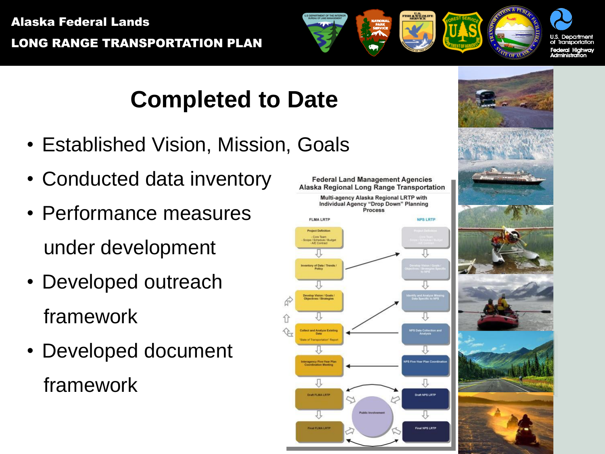

#### **Completed to Date**

- Established Vision, Mission, Goals
- Conducted data inventory
- Performance measures under development
- Developed outreach framework
- Developed document framework

**Federal Land Management Agencies Alaska Regional Long Range Transportation** Multi-agency Alaska Regional LRTP with Individual Agency "Drop Down" Planning Process **FLMA LRTP** NPS I PTP **Project Definition** - Core Team<br>Scope / Schedule / Budge<br>- AlE Contract y of Data / Trends<br>Policy relop Vision / Goals<br>siectives / Strategier 具 л Draft FLMA LRTP Draft NPS LRTP ЛĻ Л Final FLMA LRTP **Time! NOR 1 871** 

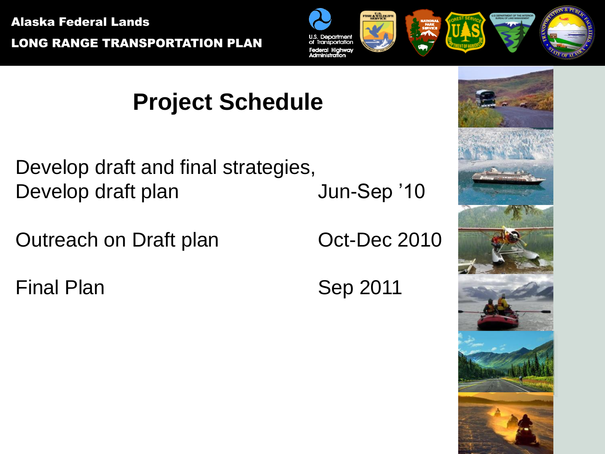

## **Project Schedule**

Develop draft and final strategies, Develop draft plan Jun-Sep '10

Outreach on Draft plan **Oct-Dec 2010** 

Final Plan Sep 2011

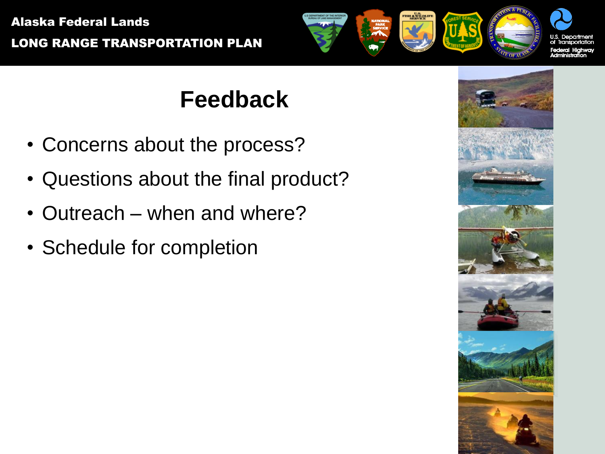

## **Feedback**

- Concerns about the process?
- Questions about the final product?
- Outreach when and where?
- Schedule for completion

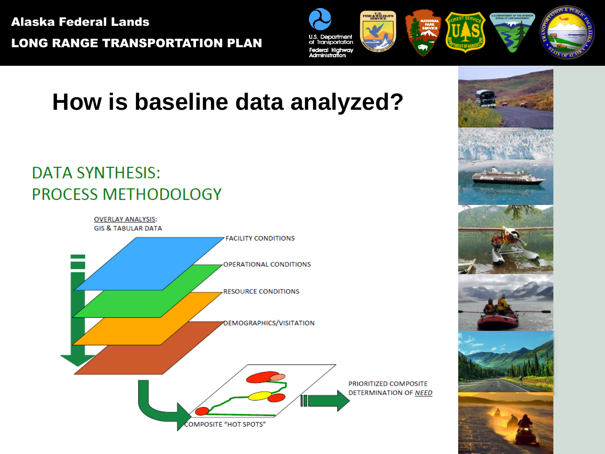LONG RANGE TRANSPORTATION PLAN



### **How is baseline data analyzed?**

#### **DATA SYNTHESIS: PROCESS METHODOLOGY**

**OVERLAY ANALYSIS: GIS & TABULAR DATA FACILITY CONDITIONS** OPERATIONAL CONDITIONS **RESOURCE CONDITIONS** DEMOGRAPHICS/VISITATION PRIORITIZED COMPOSITE DETERMINATION OF NEED Г COMPOSITE "HOT SPOTS"

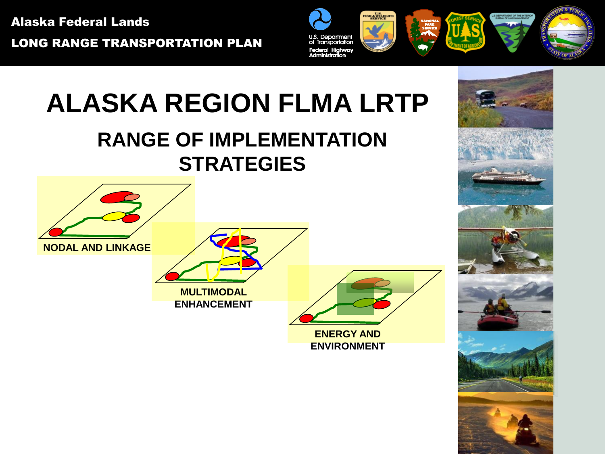LONG RANGE TRANSPORTATION PLAN



# **ALASKA REGION FLMA LRTP**

#### **RANGE OF IMPLEMENTATION STRATEGIES**



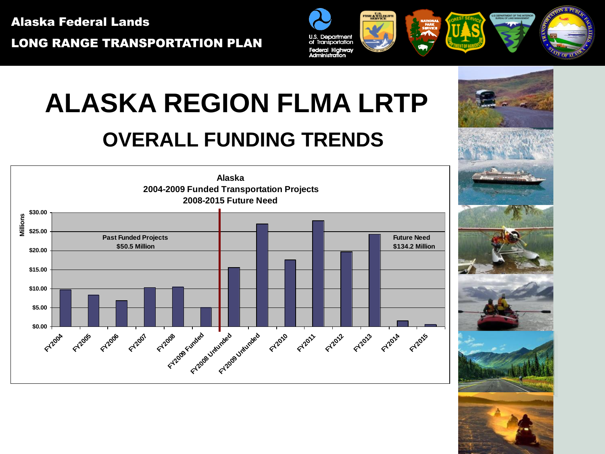LONG RANGE TRANSPORTATION PLAN



# **ALASKA REGION FLMA LRTP**

#### **OVERALL FUNDING TRENDS**